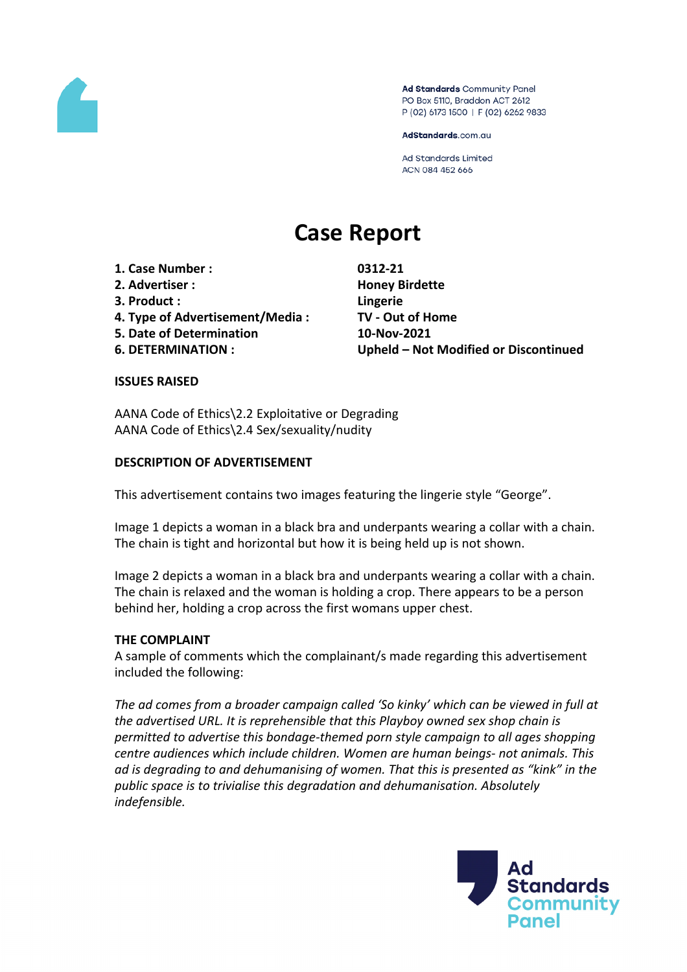

Ad Standards Community Panel PO Box 5110, Braddon ACT 2612 P (02) 6173 1500 | F (02) 6262 9833

AdStandards.com.au

**Ad Standards Limited** ACN 084 452 666

# **Case Report**

**1. Case Number : 0312-21**

- **2. Advertiser : Honey Birdette**
- **3. Product : Lingerie**
- **4. Type of Advertisement/Media : TV - Out of Home**
- **5. Date of Determination 10-Nov-2021**
- 

**6. DETERMINATION : Upheld – Not Modified or Discontinued**

#### **ISSUES RAISED**

AANA Code of Ethics\2.2 Exploitative or Degrading AANA Code of Ethics\2.4 Sex/sexuality/nudity

## **DESCRIPTION OF ADVERTISEMENT**

This advertisement contains two images featuring the lingerie style "George".

Image 1 depicts a woman in a black bra and underpants wearing a collar with a chain. The chain is tight and horizontal but how it is being held up is not shown.

Image 2 depicts a woman in a black bra and underpants wearing a collar with a chain. The chain is relaxed and the woman is holding a crop. There appears to be a person behind her, holding a crop across the first womans upper chest.

#### **THE COMPLAINT**

A sample of comments which the complainant/s made regarding this advertisement included the following:

*The ad comes from a broader campaign called 'So kinky' which can be viewed in full at the advertised URL. It is reprehensible that this Playboy owned sex shop chain is permitted to advertise this bondage-themed porn style campaign to all ages shopping centre audiences which include children. Women are human beings- not animals. This ad is degrading to and dehumanising of women. That this is presented as "kink" in the public space is to trivialise this degradation and dehumanisation. Absolutely indefensible.*

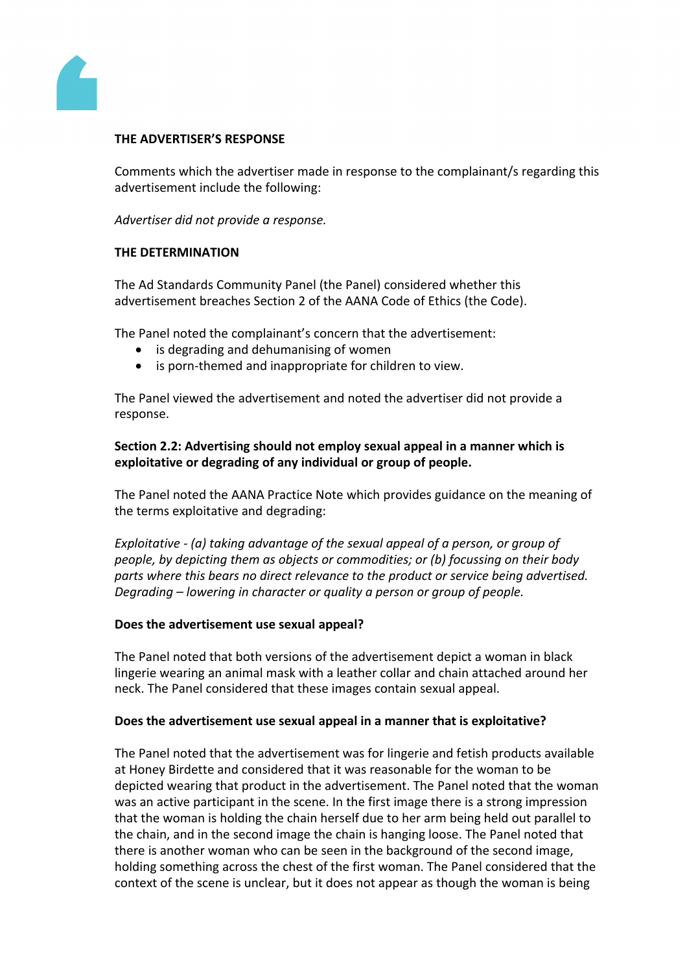

#### **THE ADVERTISER'S RESPONSE**

Comments which the advertiser made in response to the complainant/s regarding this advertisement include the following:

*Advertiser did not provide a response.*

#### **THE DETERMINATION**

The Ad Standards Community Panel (the Panel) considered whether this advertisement breaches Section 2 of the AANA Code of Ethics (the Code).

The Panel noted the complainant's concern that the advertisement:

- is degrading and dehumanising of women
- is porn-themed and inappropriate for children to view.

The Panel viewed the advertisement and noted the advertiser did not provide a response.

## **Section 2.2: Advertising should not employ sexual appeal in a manner which is exploitative or degrading of any individual or group of people.**

The Panel noted the AANA Practice Note which provides guidance on the meaning of the terms exploitative and degrading:

*Exploitative - (a) taking advantage of the sexual appeal of a person, or group of people, by depicting them as objects or commodities; or (b) focussing on their body parts where this bears no direct relevance to the product or service being advertised. Degrading – lowering in character or quality a person or group of people.*

#### **Does the advertisement use sexual appeal?**

The Panel noted that both versions of the advertisement depict a woman in black lingerie wearing an animal mask with a leather collar and chain attached around her neck. The Panel considered that these images contain sexual appeal.

#### **Does the advertisement use sexual appeal in a manner that is exploitative?**

The Panel noted that the advertisement was for lingerie and fetish products available at Honey Birdette and considered that it was reasonable for the woman to be depicted wearing that product in the advertisement. The Panel noted that the woman was an active participant in the scene. In the first image there is a strong impression that the woman is holding the chain herself due to her arm being held out parallel to the chain, and in the second image the chain is hanging loose. The Panel noted that there is another woman who can be seen in the background of the second image, holding something across the chest of the first woman. The Panel considered that the context of the scene is unclear, but it does not appear as though the woman is being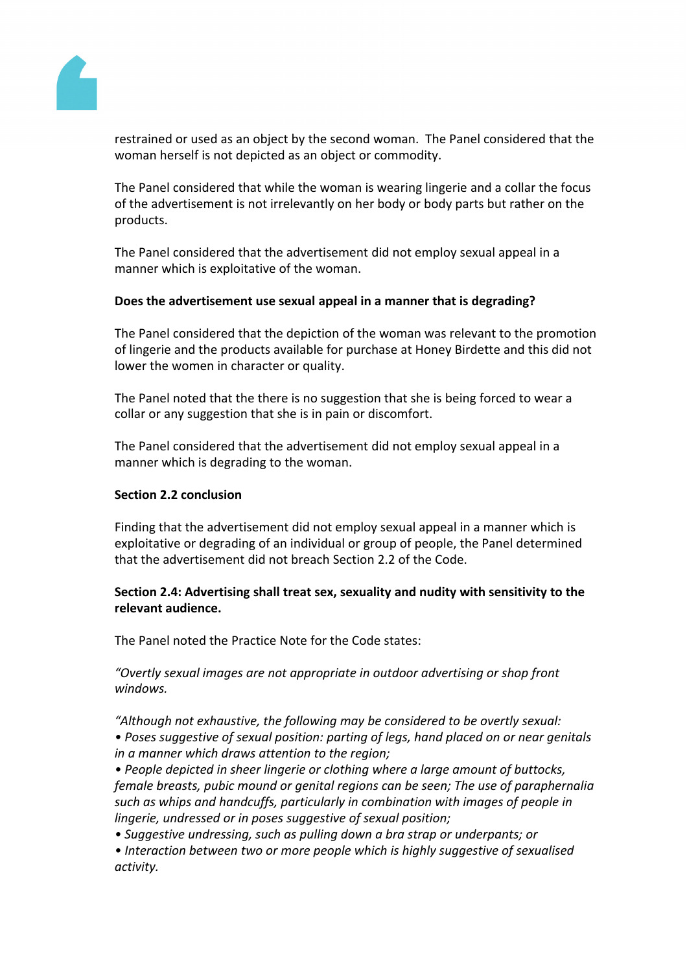

restrained or used as an object by the second woman. The Panel considered that the woman herself is not depicted as an object or commodity.

The Panel considered that while the woman is wearing lingerie and a collar the focus of the advertisement is not irrelevantly on her body or body parts but rather on the products.

The Panel considered that the advertisement did not employ sexual appeal in a manner which is exploitative of the woman.

#### **Does the advertisement use sexual appeal in a manner that is degrading?**

The Panel considered that the depiction of the woman was relevant to the promotion of lingerie and the products available for purchase at Honey Birdette and this did not lower the women in character or quality.

The Panel noted that the there is no suggestion that she is being forced to wear a collar or any suggestion that she is in pain or discomfort.

The Panel considered that the advertisement did not employ sexual appeal in a manner which is degrading to the woman.

#### **Section 2.2 conclusion**

Finding that the advertisement did not employ sexual appeal in a manner which is exploitative or degrading of an individual or group of people, the Panel determined that the advertisement did not breach Section 2.2 of the Code.

## **Section 2.4: Advertising shall treat sex, sexuality and nudity with sensitivity to the relevant audience.**

The Panel noted the Practice Note for the Code states:

*"Overtly sexual images are not appropriate in outdoor advertising or shop front windows.*

*"Although not exhaustive, the following may be considered to be overtly sexual: • Poses suggestive of sexual position: parting of legs, hand placed on or near genitals in a manner which draws attention to the region;*

*• People depicted in sheer lingerie or clothing where a large amount of buttocks, female breasts, pubic mound or genital regions can be seen; The use of paraphernalia such as whips and handcuffs, particularly in combination with images of people in lingerie, undressed or in poses suggestive of sexual position;*

*• Suggestive undressing, such as pulling down a bra strap or underpants; or • Interaction between two or more people which is highly suggestive of sexualised activity.*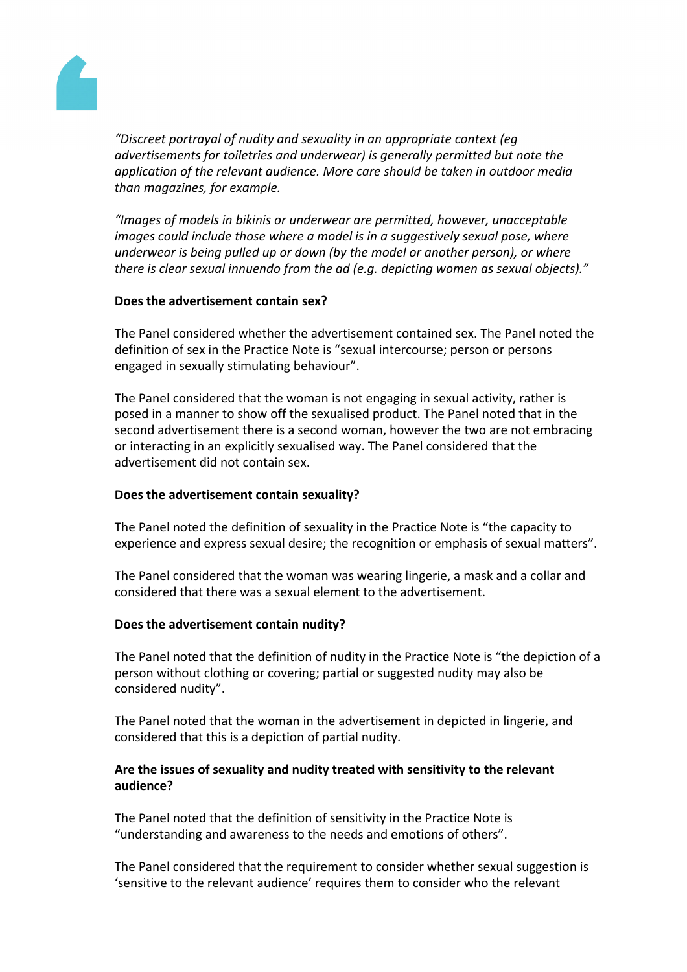

*"Discreet portrayal of nudity and sexuality in an appropriate context (eg advertisements for toiletries and underwear) is generally permitted but note the application of the relevant audience. More care should be taken in outdoor media than magazines, for example.*

*"Images of models in bikinis or underwear are permitted, however, unacceptable images could include those where a model is in a suggestively sexual pose, where underwear is being pulled up or down (by the model or another person), or where there is clear sexual innuendo from the ad (e.g. depicting women as sexual objects)."*

#### **Does the advertisement contain sex?**

The Panel considered whether the advertisement contained sex. The Panel noted the definition of sex in the Practice Note is "sexual intercourse; person or persons engaged in sexually stimulating behaviour".

The Panel considered that the woman is not engaging in sexual activity, rather is posed in a manner to show off the sexualised product. The Panel noted that in the second advertisement there is a second woman, however the two are not embracing or interacting in an explicitly sexualised way. The Panel considered that the advertisement did not contain sex.

#### **Does the advertisement contain sexuality?**

The Panel noted the definition of sexuality in the Practice Note is "the capacity to experience and express sexual desire; the recognition or emphasis of sexual matters".

The Panel considered that the woman was wearing lingerie, a mask and a collar and considered that there was a sexual element to the advertisement.

#### **Does the advertisement contain nudity?**

The Panel noted that the definition of nudity in the Practice Note is "the depiction of a person without clothing or covering; partial or suggested nudity may also be considered nudity".

The Panel noted that the woman in the advertisement in depicted in lingerie, and considered that this is a depiction of partial nudity.

## **Are the issues of sexuality and nudity treated with sensitivity to the relevant audience?**

The Panel noted that the definition of sensitivity in the Practice Note is "understanding and awareness to the needs and emotions of others".

The Panel considered that the requirement to consider whether sexual suggestion is 'sensitive to the relevant audience' requires them to consider who the relevant